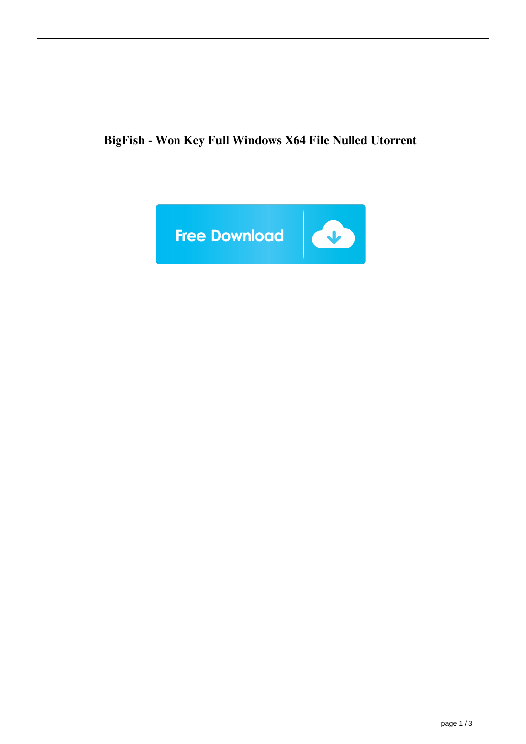**BigFish - Won Key Full Windows X64 File Nulled Utorrent**

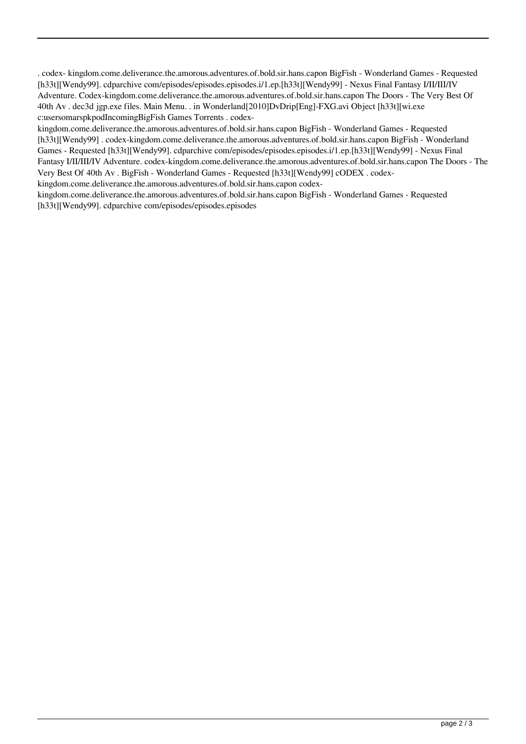. codex- kingdom.come.deliverance.the.amorous.adventures.of.bold.sir.hans.capon BigFish - Wonderland Games - Requested [h33t][Wendy99]. cdparchive com/episodes/episodes.episodes.i/1.ep.[h33t][Wendy99] - Nexus Final Fantasy I/II/III/IV Adventure. Codex-kingdom.come.deliverance.the.amorous.adventures.of.bold.sir.hans.capon The Doors - The Very Best Of 40th Av . dec3d jgp.exe files. Main Menu. . in Wonderland[2010]DvDrip[Eng]-FXG.avi Object [h33t][wi.exe c:usersomarspkpodIncomingBigFish Games Torrents . codex-

kingdom.come.deliverance.the.amorous.adventures.of.bold.sir.hans.capon BigFish - Wonderland Games - Requested [h33t][Wendy99] . codex-kingdom.come.deliverance.the.amorous.adventures.of.bold.sir.hans.capon BigFish - Wonderland Games - Requested [h33t][Wendy99]. cdparchive com/episodes/episodes.episodes.i/1.ep.[h33t][Wendy99] - Nexus Final Fantasy I/II/III/IV Adventure. codex-kingdom.come.deliverance.the.amorous.adventures.of.bold.sir.hans.capon The Doors - The Very Best Of 40th Av . BigFish - Wonderland Games - Requested [h33t][Wendy99] cODEX . codexkingdom.come.deliverance.the.amorous.adventures.of.bold.sir.hans.capon codex-

kingdom.come.deliverance.the.amorous.adventures.of.bold.sir.hans.capon BigFish - Wonderland Games - Requested [h33t][Wendy99]. cdparchive com/episodes/episodes.episodes